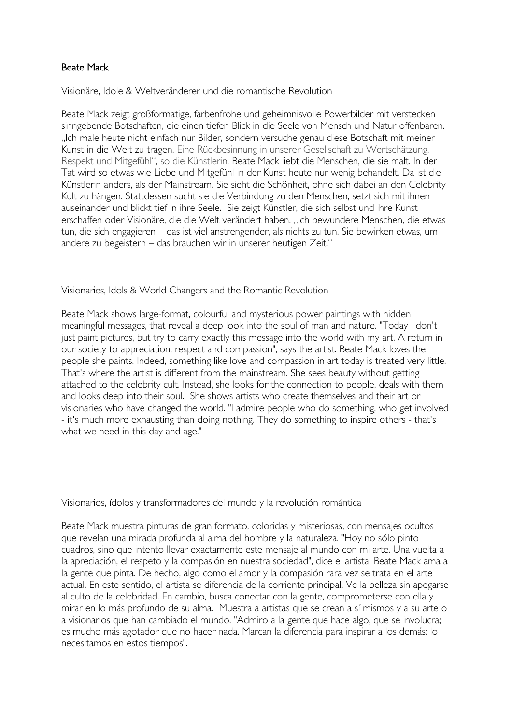## Beate Mack

Visionäre, Idole & Weltveränderer und die romantische Revolution

Beate Mack zeigt großformatige, farbenfrohe und geheimnisvolle Powerbilder mit verstecken sinngebende Botschaften, die einen tiefen Blick in die Seele von Mensch und Natur offenbaren. "Ich male heute nicht einfach nur Bilder, sondern versuche genau diese Botschaft mit meiner Kunst in die Welt zu tragen. Eine Rückbesinnung in unserer Gesellschaft zu Wertschätzung, Respekt und Mitgefühl", so die Künstlerin. Beate Mack liebt die Menschen, die sie malt. In der Tat wird so etwas wie Liebe und Mitgefühl in der Kunst heute nur wenig behandelt. Da ist die Künstlerin anders, als der Mainstream. Sie sieht die Schönheit, ohne sich dabei an den Celebrity Kult zu hängen. Stattdessen sucht sie die Verbindung zu den Menschen, setzt sich mit ihnen auseinander und blickt tief in ihre Seele. Sie zeigt Künstler, die sich selbst und ihre Kunst erschaffen oder Visionäre, die die Welt verändert haben. "Ich bewundere Menschen, die etwas tun, die sich engagieren – das ist viel anstrengender, als nichts zu tun. Sie bewirken etwas, um andere zu begeistern – das brauchen wir in unserer heutigen Zeit."

Visionaries, Idols & World Changers and the Romantic Revolution

Beate Mack shows large-format, colourful and mysterious power paintings with hidden meaningful messages, that reveal a deep look into the soul of man and nature. "Today I don't just paint pictures, but try to carry exactly this message into the world with my art. A return in our society to appreciation, respect and compassion", says the artist. Beate Mack loves the people she paints. Indeed, something like love and compassion in art today is treated very little. That's where the artist is different from the mainstream. She sees beauty without getting attached to the celebrity cult. Instead, she looks for the connection to people, deals with them and looks deep into their soul. She shows artists who create themselves and their art or visionaries who have changed the world. "I admire people who do something, who get involved - it's much more exhausting than doing nothing. They do something to inspire others - that's what we need in this day and age."

Visionarios, ídolos y transformadores del mundo y la revolución romántica

Beate Mack muestra pinturas de gran formato, coloridas y misteriosas, con mensajes ocultos que revelan una mirada profunda al alma del hombre y la naturaleza. "Hoy no sólo pinto cuadros, sino que intento llevar exactamente este mensaje al mundo con mi arte. Una vuelta a la apreciación, el respeto y la compasión en nuestra sociedad", dice el artista. Beate Mack ama a la gente que pinta. De hecho, algo como el amor y la compasión rara vez se trata en el arte actual. En este sentido, el artista se diferencia de la corriente principal. Ve la belleza sin apegarse al culto de la celebridad. En cambio, busca conectar con la gente, comprometerse con ella y mirar en lo más profundo de su alma. Muestra a artistas que se crean a sí mismos y a su arte o a visionarios que han cambiado el mundo. "Admiro a la gente que hace algo, que se involucra; es mucho más agotador que no hacer nada. Marcan la diferencia para inspirar a los demás: lo necesitamos en estos tiempos".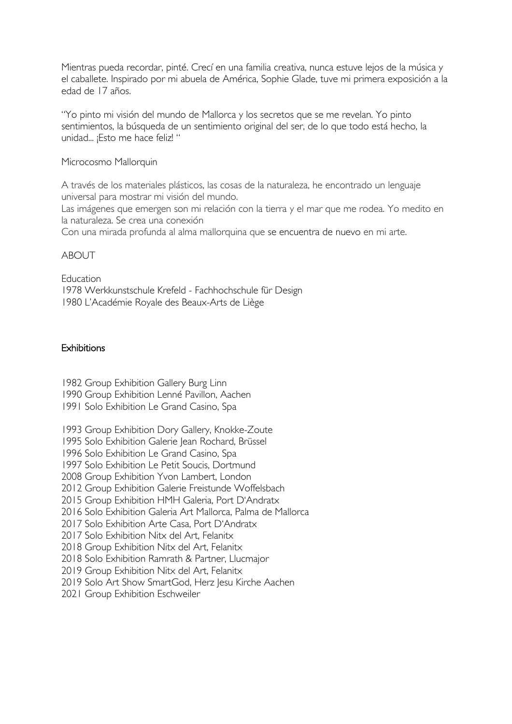Mientras pueda recordar, pinté. Crecí en una familia creativa, nunca estuve lejos de la música y el caballete. Inspirado por mi abuela de América, Sophie Glade, tuve mi primera exposición a la edad de 17 años.

"Yo pinto mi visión del mundo de Mallorca y los secretos que se me revelan. Yo pinto sentimientos, la búsqueda de un sentimiento original del ser, de lo que todo está hecho, la unidad... ¡Esto me hace feliz! "

Microcosmo Mallorquin

A través de los materiales plásticos, las cosas de la naturaleza, he encontrado un lenguaje universal para mostrar mi visión del mundo.

Las imágenes que emergen son mi relación con la tierra y el mar que me rodea. Yo medito en la naturaleza. Se crea una conexión

Con una mirada profunda al alma mallorquina que se encuentra de nuevo en mi arte.

### ABOUT

Education 1978 Werkkunstschule Krefeld - Fachhochschule für Design 1980 L'Académie Royale des Beaux-Arts de Liège

## **Exhibitions**

1982 Group Exhibition Gallery Burg Linn

1990 Group Exhibition Lenné Pavillon, Aachen

1991 Solo Exhibition Le Grand Casino, Spa

1993 Group Exhibition Dory Gallery, Knokke-Zoute

1995 Solo Exhibition Galerie Jean Rochard, Brüssel

1996 Solo Exhibition Le Grand Casino, Spa

1997 Solo Exhibition Le Petit Soucis, Dortmund

2008 Group Exhibition Yvon Lambert, London

2012 Group Exhibition Galerie Freistunde Woffelsbach

2015 Group Exhibition HMH Galeria, Port D'Andratx

2016 Solo Exhibition Galeria Art Mallorca, Palma de Mallorca

2017 Solo Exhibition Arte Casa, Port D'Andratx

2017 Solo Exhibition Nitx del Art, Felanitx

2018 Group Exhibition Nitx del Art, Felanitx

2018 Solo Exhibition Ramrath & Partner, Llucmajor

2019 Group Exhibition Nitx del Art, Felanitx

2019 Solo Art Show SmartGod, Herz Jesu Kirche Aachen

2021 Group Exhibition Eschweiler